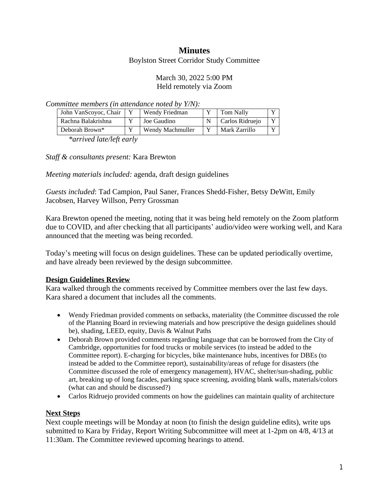## **Minutes**

Boylston Street Corridor Study Committee

### March 30, 2022 5:00 PM Held remotely via Zoom

*Committee members (in attendance noted by Y/N):*

| John VanScoyoc, Chair | Wendy Friedman   | <b>Tom Nally</b> | $\overline{\mathbf{x}}$ |
|-----------------------|------------------|------------------|-------------------------|
| Rachna Balakrishna    | Joe Gaudino      | Carlos Ridruejo  | $\mathbf{v}$            |
| Deborah Brown*        | Wendy Machmuller | Mark Zarrillo    |                         |

*\*arrived late/left early*

*Staff & consultants present:* Kara Brewton

*Meeting materials included:* agenda, draft design guidelines

*Guests included*: Tad Campion, Paul Saner, Frances Shedd-Fisher, Betsy DeWitt, Emily Jacobsen, Harvey Willson, Perry Grossman

Kara Brewton opened the meeting, noting that it was being held remotely on the Zoom platform due to COVID, and after checking that all participants' audio/video were working well, and Kara announced that the meeting was being recorded.

Today's meeting will focus on design guidelines. These can be updated periodically overtime, and have already been reviewed by the design subcommittee.

## **Design Guidelines Review**

Kara walked through the comments received by Committee members over the last few days. Kara shared a document that includes all the comments.

- Wendy Friedman provided comments on setbacks, materiality (the Committee discussed the role of the Planning Board in reviewing materials and how prescriptive the design guidelines should be), shading, LEED, equity, Davis & Walnut Paths
- Deborah Brown provided comments regarding language that can be borrowed from the City of Cambridge, opportunities for food trucks or mobile services (to instead be added to the Committee report). E-charging for bicycles, bike maintenance hubs, incentives for DBEs (to instead be added to the Committee report), sustainability/areas of refuge for disasters (the Committee discussed the role of emergency management), HVAC, shelter/sun-shading, public art, breaking up of long facades, parking space screening, avoiding blank walls, materials/colors (what can and should be discussed?)
- Carlos Ridruejo provided comments on how the guidelines can maintain quality of architecture

#### **Next Steps**

Next couple meetings will be Monday at noon (to finish the design guideline edits), write ups submitted to Kara by Friday, Report Writing Subcommittee will meet at 1-2pm on 4/8, 4/13 at 11:30am. The Committee reviewed upcoming hearings to attend.